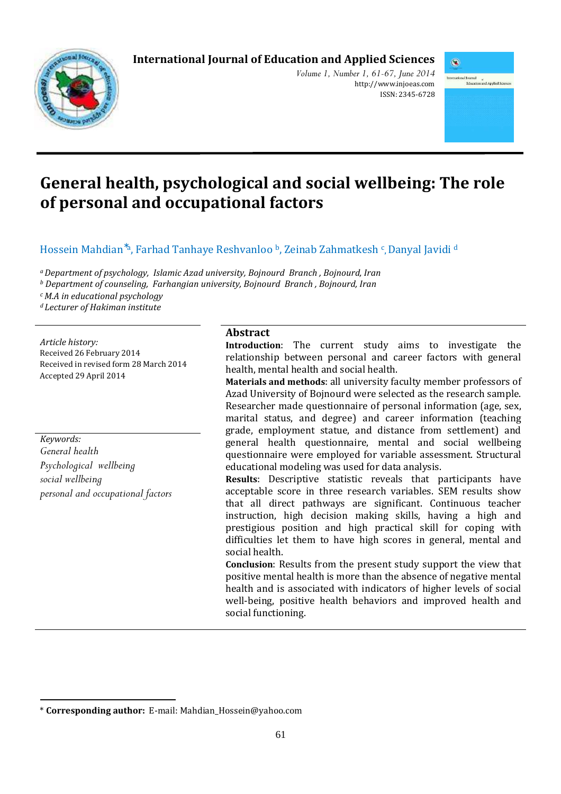# **International Journal of Education and Applied Sciences**



*Volume 1, Number 1, 61-67, June 2014*  http://www.injoeas.com ISSN: 2345-6728



# **General health, psychological and social wellbeing: The role of personal and occupational factors**

Hossein Mahdian<sup>\*a</sup>, Farhad Tanhaye Reshvanloo <sup>b</sup>, Zeinab Zahmatkesh <sup>c</sup>, Danyal Javidi <sup>d</sup>

*<sup>a</sup>Department of psychology, Islamic Azad university, Bojnourd Branch , Bojnourd, Iran* 

*<sup>b</sup> Department of counseling, Farhangian university, Bojnourd Branch , Bojnourd, Iran* 

*<sup>c</sup>M.A in educational psychology* 

*<sup>d</sup>Lecturer of Hakiman institute* 

*Article history:*  Received 26 February 2014 Received in revised form 28 March 2014 Accepted 29 April 2014

*Keywords: General health Psychological wellbeing social wellbeing personal and occupational factors*

 $\overline{a}$ 

## **Abstract**

**Introduction**: The current study aims to investigate the relationship between personal and career factors with general health, mental health and social health.

**Materials and methods**: all university faculty member professors of Azad University of Bojnourd were selected as the research sample. Researcher made questionnaire of personal information (age, sex, marital status, and degree) and career information (teaching grade, employment statue, and distance from settlement) and general health questionnaire, mental and social wellbeing questionnaire were employed for variable assessment. Structural educational modeling was used for data analysis.

**Results**: Descriptive statistic reveals that participants have acceptable score in three research variables. SEM results show that all direct pathways are significant. Continuous teacher instruction, high decision making skills, having a high and prestigious position and high practical skill for coping with difficulties let them to have high scores in general, mental and social health.

**Conclusion**: Results from the present study support the view that positive mental health is more than the absence of negative mental health and is associated with indicators of higher levels of social well-being, positive health behaviors and improved health and social functioning.

<sup>\*</sup> **Corresponding author:** E-mail: Mahdian\_Hossein@yahoo.com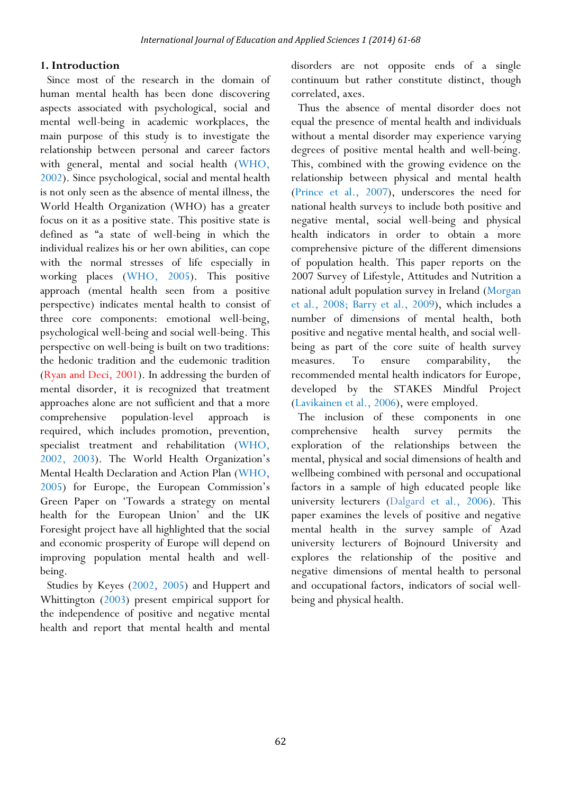#### **1. Introduction**

Since most of the research in the domain of human mental health has been done discovering aspects associated with psychological, social and mental well-being in academic workplaces, the main purpose of this study is to investigate the relationship between personal and career factors with general, mental and social health (WHO, 2002). Since psychological, social and mental health is not only seen as the absence of mental illness, the World Health Organization (WHO) has a greater focus on it as a positive state. This positive state is defined as "a state of well-being in which the individual realizes his or her own abilities, can cope with the normal stresses of life especially in working places (WHO, 2005). This positive approach (mental health seen from a positive perspective) indicates mental health to consist of three core components: emotional well-being, psychological well-being and social well-being. This perspective on well-being is built on two traditions: the hedonic tradition and the eudemonic tradition (Ryan and Deci, 2001). In addressing the burden of mental disorder, it is recognized that treatment approaches alone are not sufficient and that a more comprehensive population-level approach is required, which includes promotion, prevention, specialist treatment and rehabilitation (WHO, 2002, 2003). The World Health Organization's Mental Health Declaration and Action Plan (WHO, 2005) for Europe, the European Commission's Green Paper on 'Towards a strategy on mental health for the European Union' and the UK Foresight project have all highlighted that the social and economic prosperity of Europe will depend on improving population mental health and wellbeing.

Studies by Keyes (2002, 2005) and Huppert and Whittington (2003) present empirical support for the independence of positive and negative mental health and report that mental health and mental

disorders are not opposite ends of a single continuum but rather constitute distinct, though correlated, axes.

Thus the absence of mental disorder does not equal the presence of mental health and individuals without a mental disorder may experience varying degrees of positive mental health and well-being. This, combined with the growing evidence on the relationship between physical and mental health (Prince et al., 2007), underscores the need for national health surveys to include both positive and negative mental, social well-being and physical health indicators in order to obtain a more comprehensive picture of the different dimensions of population health. This paper reports on the 2007 Survey of Lifestyle, Attitudes and Nutrition a national adult population survey in Ireland (Morgan et al., 2008; Barry et al., 2009), which includes a number of dimensions of mental health, both positive and negative mental health, and social wellbeing as part of the core suite of health survey measures. To ensure comparability, the recommended mental health indicators for Europe, developed by the STAKES Mindful Project (Lavikainen et al., 2006), were employed.

The inclusion of these components in one comprehensive health survey permits the exploration of the relationships between the mental, physical and social dimensions of health and wellbeing combined with personal and occupational factors in a sample of high educated people like university lecturers (Dalgard et al., 2006). This paper examines the levels of positive and negative mental health in the survey sample of Azad university lecturers of Bojnourd University and explores the relationship of the positive and negative dimensions of mental health to personal and occupational factors, indicators of social wellbeing and physical health.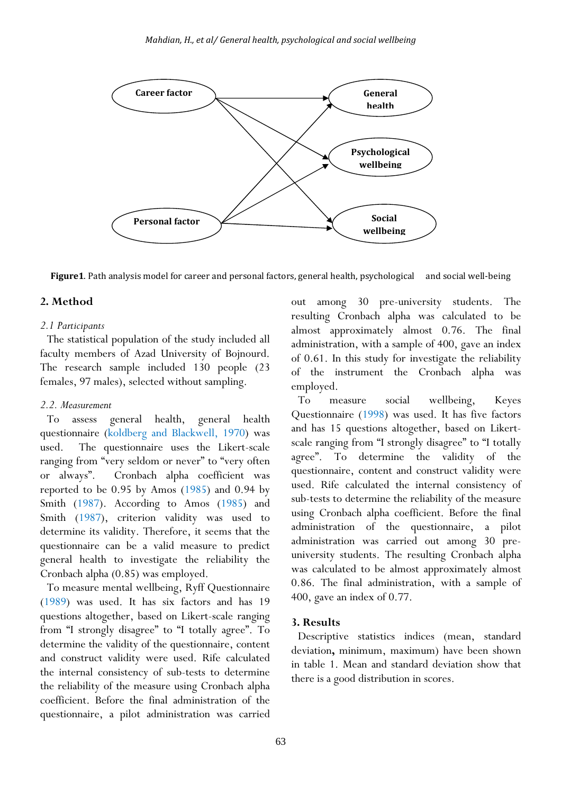

**Figure1**. Path analysis model for career and personal factors, general health, psychological and social well-being

## **2. Method**

#### *2.1 Participants*

The statistical population of the study included all faculty members of Azad University of Bojnourd. The research sample included 130 people (23 females, 97 males), selected without sampling.

## *2.2. Measurement*

To assess general health, general health questionnaire (koldberg and Blackwell, 1970) was used. The questionnaire uses the Likert-scale ranging from "very seldom or never" to "very often or always". Cronbach alpha coefficient was reported to be 0.95 by Amos (1985) and 0.94 by Smith (1987). According to Amos (1985) and Smith (1987), criterion validity was used to determine its validity. Therefore, it seems that the questionnaire can be a valid measure to predict general health to investigate the reliability the Cronbach alpha (0.85) was employed.

To measure mental wellbeing, Ryff Questionnaire (1989) was used. It has six factors and has 19 questions altogether, based on Likert-scale ranging from "I strongly disagree" to "I totally agree". To determine the validity of the questionnaire, content and construct validity were used. Rife calculated the internal consistency of sub-tests to determine the reliability of the measure using Cronbach alpha coefficient. Before the final administration of the questionnaire, a pilot administration was carried

out among 30 pre-university students. The resulting Cronbach alpha was calculated to be almost approximately almost 0.76. The final administration, with a sample of 400, gave an index of 0.61. In this study for investigate the reliability of the instrument the Cronbach alpha was employed.

To measure social wellbeing, Keyes Questionnaire (1998) was used. It has five factors and has 15 questions altogether, based on Likertscale ranging from "I strongly disagree" to "I totally agree". To determine the validity of the questionnaire, content and construct validity were used. Rife calculated the internal consistency of sub-tests to determine the reliability of the measure using Cronbach alpha coefficient. Before the final administration of the questionnaire, a pilot administration was carried out among 30 preuniversity students. The resulting Cronbach alpha was calculated to be almost approximately almost 0.86. The final administration, with a sample of 400, gave an index of 0.77.

## **3. Results**

Descriptive statistics indices (mean, standard deviation**,** minimum, maximum) have been shown in table 1. Mean and standard deviation show that there is a good distribution in scores.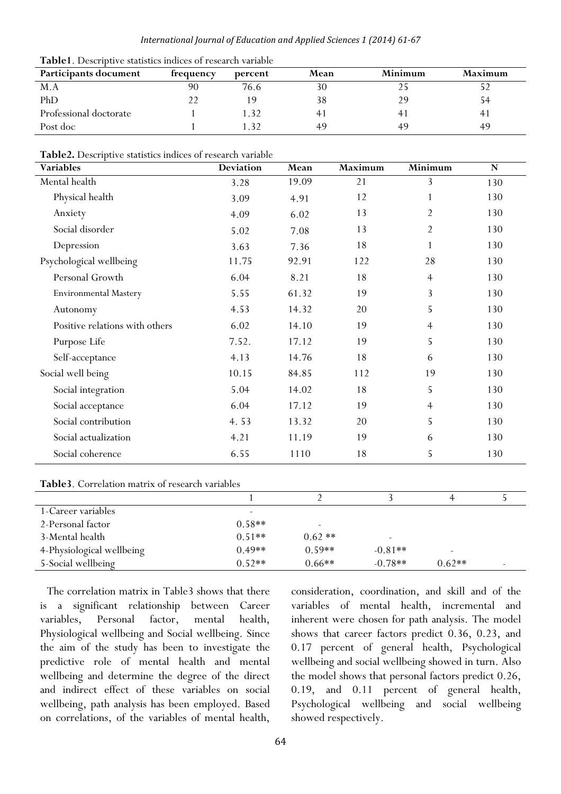#### *International Journal of Education and Applied Sciences 1 (2014) 61-67*

| Participants document  | frequency | percent       | Mean | Minimum        | Maximum |
|------------------------|-----------|---------------|------|----------------|---------|
| M.A                    | 90        | 76.6          | 30   |                |         |
| PhD                    |           | 19            | 38   | 29             | 54      |
| Professional doctorate |           | $\mathcal{R}$ |      | 4 <sup>1</sup> | 41      |
| Post doc               |           | - 22          | 49   | 49             | 49      |

**Table2.** Descriptive statistics indices of research variable

| Variables                      | <b>Deviation</b> | Mean  | Maximum | Minimum        | $\mathbf N$ |
|--------------------------------|------------------|-------|---------|----------------|-------------|
| Mental health                  | 3.28             | 19.09 | 21      | 3              | 130         |
| Physical health                | 3.09             | 4.91  | 12      |                | 130         |
| Anxiety                        | 4.09             | 6.02  | 13      | $\overline{2}$ | 130         |
| Social disorder                | 5.02             | 7.08  | 13      | $\overline{2}$ | 130         |
| Depression                     | 3.63             | 7.36  | 18      | $\mathbf{1}$   | 130         |
| Psychological wellbeing        | 11.75            | 92.91 | 122     | 28             | 130         |
| Personal Growth                | 6.04             | 8.21  | 18      | $\overline{4}$ | 130         |
| <b>Environmental Mastery</b>   | 5.55             | 61.32 | 19      | 3              | 130         |
| Autonomy                       | 4.53             | 14.32 | 20      | 5              | 130         |
| Positive relations with others | 6.02             | 14.10 | 19      | $\overline{4}$ | 130         |
| Purpose Life                   | 7.52.            | 17.12 | 19      | 5              | 130         |
| Self-acceptance                | 4.13             | 14.76 | 18      | 6              | 130         |
| Social well being              | 10.15            | 84.85 | 112     | 19             | 130         |
| Social integration             | 5.04             | 14.02 | 18      | 5              | 130         |
| Social acceptance              | 6.04             | 17.12 | 19      | $\overline{4}$ | 130         |
| Social contribution            | 4.53             | 13.32 | 20      | 5              | 130         |
| Social actualization           | 4.21             | 11.19 | 19      | 6              | 130         |
| Social coherence               | 6.55             | 1110  | 18      | 5              | 130         |

#### **Table3**. Correlation matrix of research variables

| $-$ we not consider the contraction of the contraction of the subset of the subset of $\sim$ |          |          |           |                          |                          |  |  |  |
|----------------------------------------------------------------------------------------------|----------|----------|-----------|--------------------------|--------------------------|--|--|--|
|                                                                                              |          |          |           |                          |                          |  |  |  |
| 1-Career variables                                                                           |          |          |           |                          |                          |  |  |  |
| 2-Personal factor                                                                            | $0.58**$ | -        |           |                          |                          |  |  |  |
| 3-Mental health                                                                              | $0.51**$ | $0.62**$ |           |                          |                          |  |  |  |
| 4-Physiological wellbeing                                                                    | $0.49**$ | $0.59**$ | $-0.81**$ | $\overline{\phantom{a}}$ |                          |  |  |  |
| 5-Social wellbeing                                                                           | $0.52**$ | $0.66**$ | $-0.78**$ | $0.62**$                 | $\overline{\phantom{0}}$ |  |  |  |

The correlation matrix in Table3 shows that there is a significant relationship between Career variables, Personal factor, mental health, Physiological wellbeing and Social wellbeing. Since the aim of the study has been to investigate the predictive role of mental health and mental wellbeing and determine the degree of the direct and indirect effect of these variables on social wellbeing, path analysis has been employed. Based on correlations, of the variables of mental health,

consideration, coordination, and skill and of the variables of mental health, incremental and inherent were chosen for path analysis. The model shows that career factors predict 0.36, 0.23, and 0.17 percent of general health, Psychological wellbeing and social wellbeing showed in turn. Also the model shows that personal factors predict 0.26, 0.19, and 0.11 percent of general health, Psychological wellbeing and social wellbeing showed respectively.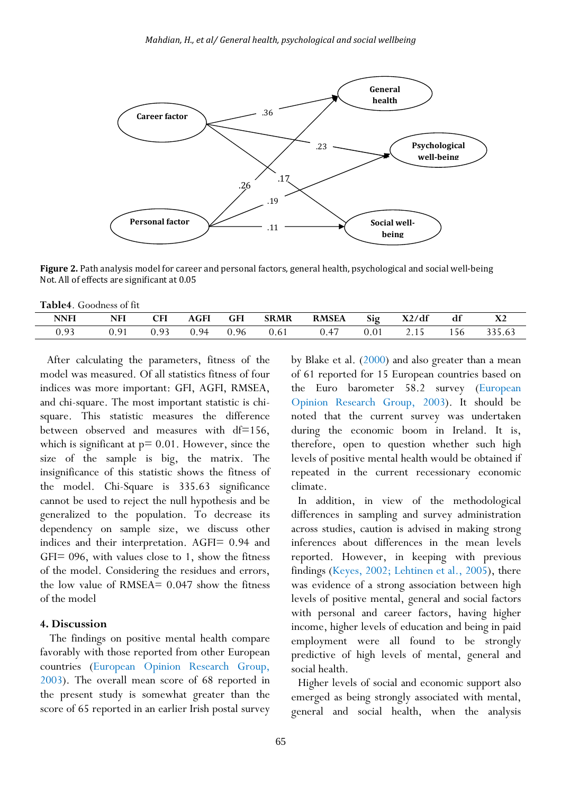

**Figure 2.** Path analysis model for career and personal factors, general health, psychological and social well-being Not. All of effects are significant at 0.05

| Table4. Goodness of fit |  |
|-------------------------|--|
|-------------------------|--|

| NNFI         | <b>NFI</b> | CFI      | AGFI | <b>GFI</b> | <b>SRMR</b> | <b>RMSEA</b> | Sig  | X2/df | df | ΛZ     |
|--------------|------------|----------|------|------------|-------------|--------------|------|-------|----|--------|
| า 93<br>0.95 | 0.91       | $\Omega$ | 0.94 | 0.96       | 0.61        | 0.47         | 0.01 | 2.15  |    | 335.63 |

After calculating the parameters, fitness of the model was measured. Of all statistics fitness of four indices was more important: GFI, AGFI, RMSEA, and chi-square. The most important statistic is chisquare. This statistic measures the difference between observed and measures with df=156, which is significant at  $p = 0.01$ . However, since the size of the sample is big, the matrix. The insignificance of this statistic shows the fitness of the model. Chi-Square is 335.63 significance cannot be used to reject the null hypothesis and be generalized to the population. To decrease its dependency on sample size, we discuss other indices and their interpretation. AGFI= 0.94 and  $GFI = 096$ , with values close to 1, show the fitness of the model. Considering the residues and errors, the low value of RMSEA= 0.047 show the fitness of the model

#### **4. Discussion**

 The findings on positive mental health compare favorably with those reported from other European countries (European Opinion Research Group, 2003). The overall mean score of 68 reported in the present study is somewhat greater than the score of 65 reported in an earlier Irish postal survey by Blake et al. (2000) and also greater than a mean of 61 reported for 15 European countries based on the Euro barometer 58.2 survey (European Opinion Research Group, 2003). It should be noted that the current survey was undertaken during the economic boom in Ireland. It is, therefore, open to question whether such high levels of positive mental health would be obtained if repeated in the current recessionary economic climate.

In addition, in view of the methodological differences in sampling and survey administration across studies, caution is advised in making strong inferences about differences in the mean levels reported. However, in keeping with previous findings (Keyes, 2002; Lehtinen et al., 2005), there was evidence of a strong association between high levels of positive mental, general and social factors with personal and career factors, having higher income, higher levels of education and being in paid employment were all found to be strongly predictive of high levels of mental, general and social health.

Higher levels of social and economic support also emerged as being strongly associated with mental, general and social health, when the analysis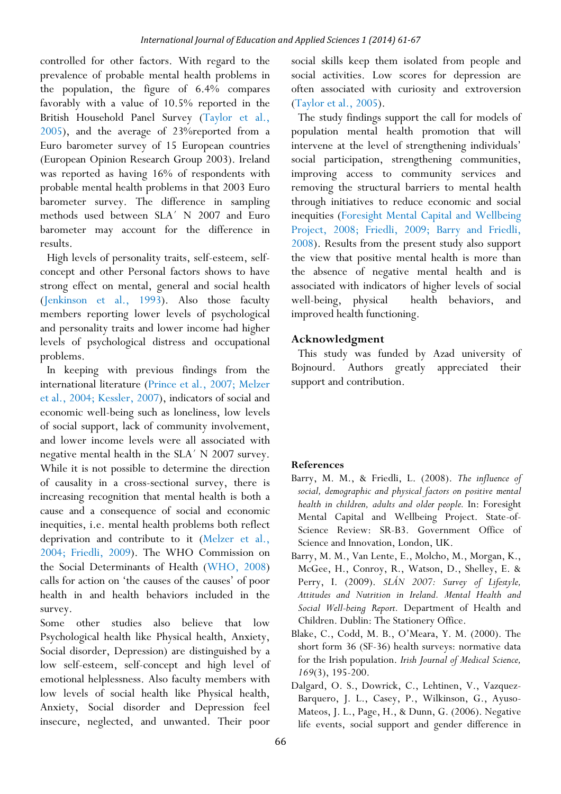controlled for other factors. With regard to the prevalence of probable mental health problems in the population, the figure of 6.4% compares favorably with a value of 10.5% reported in the British Household Panel Survey (Taylor et al., 2005), and the average of 23%reported from a Euro barometer survey of 15 European countries (European Opinion Research Group 2003). Ireland was reported as having 16% of respondents with probable mental health problems in that 2003 Euro barometer survey. The difference in sampling methods used between SLA´ N 2007 and Euro barometer may account for the difference in results.

High levels of personality traits, self-esteem, selfconcept and other Personal factors shows to have strong effect on mental, general and social health (Jenkinson et al., 1993). Also those faculty members reporting lower levels of psychological and personality traits and lower income had higher levels of psychological distress and occupational problems.

In keeping with previous findings from the international literature (Prince et al., 2007; Melzer et al., 2004; Kessler, 2007), indicators of social and economic well-being such as loneliness, low levels of social support, lack of community involvement, and lower income levels were all associated with negative mental health in the SLA´ N 2007 survey. While it is not possible to determine the direction of causality in a cross-sectional survey, there is increasing recognition that mental health is both a cause and a consequence of social and economic inequities, i.e. mental health problems both reflect deprivation and contribute to it (Melzer et al., 2004; Friedli, 2009). The WHO Commission on the Social Determinants of Health (WHO, 2008) calls for action on 'the causes of the causes' of poor health in and health behaviors included in the survey.

Some other studies also believe that low Psychological health like Physical health, Anxiety, Social disorder, Depression) are distinguished by a low self-esteem, self-concept and high level of emotional helplessness. Also faculty members with low levels of social health like Physical health, Anxiety, Social disorder and Depression feel insecure, neglected, and unwanted. Their poor

social skills keep them isolated from people and social activities. Low scores for depression are often associated with curiosity and extroversion (Taylor et al., 2005).

The study findings support the call for models of population mental health promotion that will intervene at the level of strengthening individuals' social participation, strengthening communities, improving access to community services and removing the structural barriers to mental health through initiatives to reduce economic and social inequities (Foresight Mental Capital and Wellbeing Project, 2008; Friedli, 2009; Barry and Friedli, 2008). Results from the present study also support the view that positive mental health is more than the absence of negative mental health and is associated with indicators of higher levels of social well-being, physical health behaviors, and improved health functioning.

# **Acknowledgment**

This study was funded by Azad university of Bojnourd. Authors greatly appreciated their support and contribution.

# **References**

- Barry, M. M., & Friedli, L. (2008). *The influence of social, demographic and physical factors on positive mental health in children, adults and older people.* In: Foresight Mental Capital and Wellbeing Project. State-of-Science Review: SR-B3. Government Office of Science and Innovation, London, UK.
- Barry, M. M., Van Lente, E., Molcho, M., Morgan, K., McGee, H., Conroy, R., Watson, D., Shelley, E. & Perry, I. (2009). *SLÁN 2007: Survey of Lifestyle, Attitudes and Nutrition in Ireland. Mental Health and Social Well-being Report.* Department of Health and Children. Dublin: The Stationery Office.
- Blake, C., Codd, M. B., O'Meara, Y. M. (2000). The short form 36 (SF-36) health surveys: normative data for the Irish population. *Irish Journal of Medical Science, 169*(3), 195-200.
- Dalgard, O. S., Dowrick, C., Lehtinen, V., Vazquez-Barquero, J. L., Casey, P., Wilkinson, G., Ayuso-Mateos, J. L., Page, H., & Dunn, G. (2006). Negative life events, social support and gender difference in